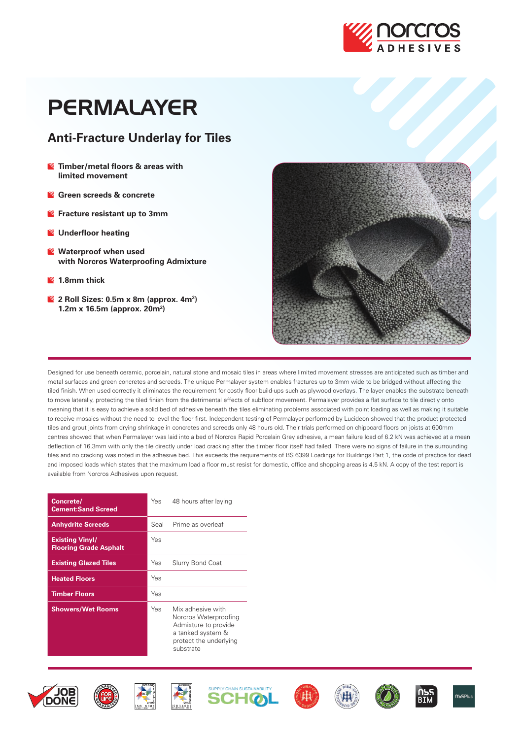

# PERMALAYER

# **Anti-Fracture Underlay for Tiles**

- **Timber/metal floors & areas with limited movement**
- **Green screeds & concrete**
- **Fracture resistant up to 3mm**
- **Underfloor heating**
- **Waterproof when used with Norcros Waterproofing Admixture**
- **1.8mm thick**
- **2 Roll Sizes: 0.5m x 8m (approx. 4m2 ) 1.2m x 16.5m (approx. 20m2 )**



Designed for use beneath ceramic, porcelain, natural stone and mosaic tiles in areas where limited movement stresses are anticipated such as timber and metal surfaces and green concretes and screeds. The unique Permalayer system enables fractures up to 3mm wide to be bridged without affecting the tiled finish. When used correctly it eliminates the requirement for costly floor build-ups such as plywood overlays. The layer enables the substrate beneath to move laterally, protecting the tiled finish from the detrimental effects of subfloor movement. Permalayer provides a flat surface to tile directly onto meaning that it is easy to achieve a solid bed of adhesive beneath the tiles eliminating problems associated with point loading as well as making it suitable to receive mosaics without the need to level the floor first. Independent testing of Permalayer performed by Lucideon showed that the product protected tiles and grout joints from drying shrinkage in concretes and screeds only 48 hours old. Their trials performed on chipboard floors on joists at 600mm centres showed that when Permalayer was laid into a bed of Norcros Rapid Porcelain Grey adhesive, a mean failure load of 6.2 kN was achieved at a mean deflection of 16.3mm with only the tile directly under load cracking after the timber floor itself had failed. There were no signs of failure in the surrounding tiles and no cracking was noted in the adhesive bed. This exceeds the requirements of BS 6399 Loadings for Buildings Part 1, the code of practice for dead and imposed loads which states that the maximum load a floor must resist for domestic, office and shopping areas is 4.5 kN. A copy of the test report is available from Norcros Adhesives upon request.

| Concrete/<br><b>Cement:Sand Screed</b>                  | Yes. | 48 hours after laying                                                                                                          |
|---------------------------------------------------------|------|--------------------------------------------------------------------------------------------------------------------------------|
| <b>Anhydrite Screeds</b>                                | Seal | Prime as overleaf                                                                                                              |
| <b>Existing Vinyl/</b><br><b>Flooring Grade Asphalt</b> | Yes  |                                                                                                                                |
| <b>Existing Glazed Tiles</b>                            | Yes  | Slurry Bond Coat                                                                                                               |
| <b>Heated Floors</b>                                    | Yes  |                                                                                                                                |
| <b>Timber Floors</b>                                    | Yes  |                                                                                                                                |
| <b>Showers/Wet Rooms</b>                                | Yes  | Mix adhesive with<br>Norcros Waterproofing<br>Admixture to provide<br>a tanked system &<br>protect the underlying<br>substrate |